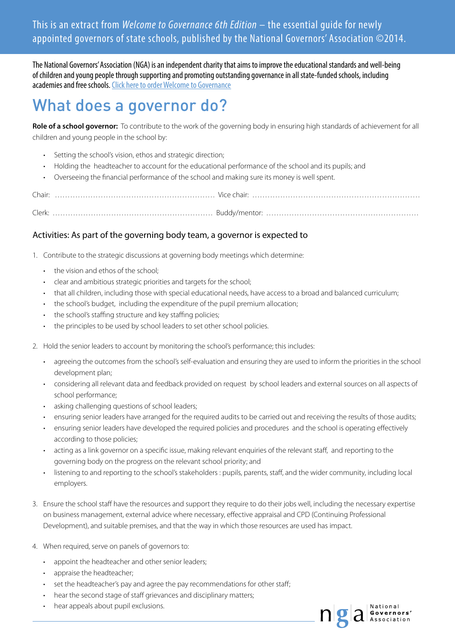This is an extract from *Welcome to Governance 6th Edition* – the essential guide for newly appointed governors of state schools, published by the National Governors' Association ©2014.

The National Governors' Association (NGA) is an independent charity that aims to improve the educational standards and well-being of children and young people through supporting and promoting outstanding governance in all state-funded schools, including academies and free schools. [Click here to order Welcome to Governance](http://myaccount.nga.org.uk/public/shop/default.aspx)

## What does a governor do?

**Role of a school governor:** To contribute to the work of the governing body in ensuring high standards of achievement for all children and young people in the school by:

- Setting the school's vision, ethos and strategic direction;
- Holding the headteacher to account for the educational performance of the school and its pupils; and
- Overseeing the financial performance of the school and making sure its money is well spent.

Chair: ……………………………………………………… Vice chair: …………………………………………………………

Clerk: ……………………………………………………… Buddy/mentor: ……………………………………………………

## Activities: As part of the governing body team, a governor is expected to

- 1. Contribute to the strategic discussions at governing body meetings which determine:
	- the vision and ethos of the school:
	- clear and ambitious strategic priorities and targets for the school;
	- that all children, including those with special educational needs, have access to a broad and balanced curriculum;
	- the school's budget, including the expenditure of the pupil premium allocation;
	- the school's staffing structure and key staffing policies;
	- the principles to be used by school leaders to set other school policies.
- 2. Hold the senior leaders to account by monitoring the school's performance; this includes:
	- agreeing the outcomes from the school's self-evaluation and ensuring they are used to inform the priorities in the school development plan;
	- considering all relevant data and feedback provided on request by school leaders and external sources on all aspects of school performance;
	- asking challenging questions of school leaders;
	- ensuring senior leaders have arranged for the required audits to be carried out and receiving the results of those audits;
	- ensuring senior leaders have developed the required policies and procedures and the school is operating effectively according to those policies;
	- acting as a link governor on a specific issue, making relevant enquiries of the relevant staff, and reporting to the governing body on the progress on the relevant school priority; and
	- listening to and reporting to the school's stakeholders : pupils, parents, staff, and the wider community, including local employers.
- 3. Ensure the school staff have the resources and support they require to do their jobs well, including the necessary expertise on business management, external advice where necessary, effective appraisal and CPD (Continuing Professional Development), and suitable premises, and that the way in which those resources are used has impact.
- 4. When required, serve on panels of governors to:
	- appoint the headteacher and other senior leaders;
	- appraise the headteacher;
	- set the headteacher's pay and agree the pay recommendations for other staff;
	- hear the second stage of staff grievances and disciplinary matters;
	- hear appeals about pupil exclusions.